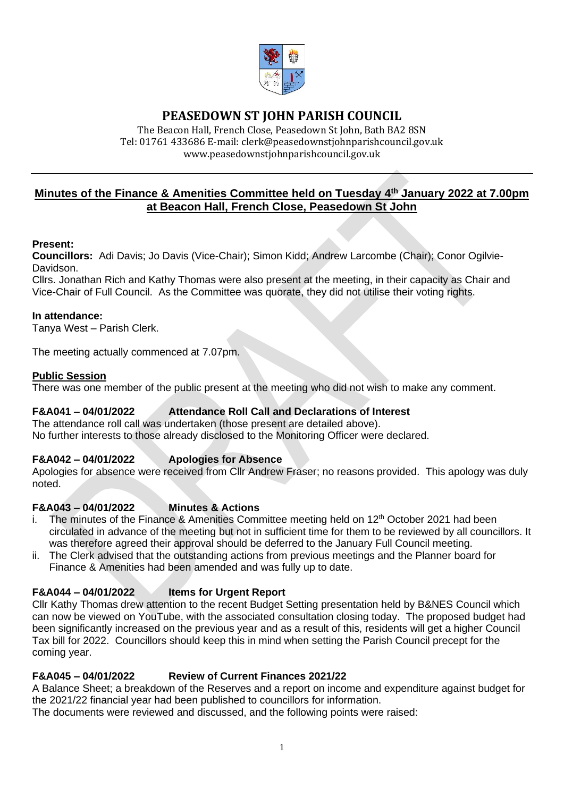

# **PEASEDOWN ST JOHN PARISH COUNCIL**

The Beacon Hall, French Close, Peasedown St John, Bath BA2 8SN Tel: 01761 433686 E-mail: clerk@peasedownstjohnparishcouncil.gov.uk [www.peasedownstjohnparishcouncil.gov.uk](http://www.peasedownstjohnparishcouncil.gov.uk/)

## **Minutes of the Finance & Amenities Committee held on Tuesday 4 th January 2022 at 7.00pm at Beacon Hall, French Close, Peasedown St John**

### **Present:**

**Councillors:** Adi Davis; Jo Davis (Vice-Chair); Simon Kidd; Andrew Larcombe (Chair); Conor Ogilvie-Davidson.

Cllrs. Jonathan Rich and Kathy Thomas were also present at the meeting, in their capacity as Chair and Vice-Chair of Full Council. As the Committee was quorate, they did not utilise their voting rights.

#### **In attendance:**

Tanya West – Parish Clerk.

The meeting actually commenced at 7.07pm.

### **Public Session**

There was one member of the public present at the meeting who did not wish to make any comment.

## **F&A041 – 04/01/2022 Attendance Roll Call and Declarations of Interest**

The attendance roll call was undertaken (those present are detailed above). No further interests to those already disclosed to the Monitoring Officer were declared.

## **F&A042 – 04/01/2022 Apologies for Absence**

Apologies for absence were received from Cllr Andrew Fraser; no reasons provided. This apology was duly noted.

#### **F&A043 – 04/01/2022 Minutes & Actions**

- i. The minutes of the Finance & Amenities Committee meeting held on  $12<sup>th</sup>$  October 2021 had been circulated in advance of the meeting but not in sufficient time for them to be reviewed by all councillors. It was therefore agreed their approval should be deferred to the January Full Council meeting.
- ii. The Clerk advised that the outstanding actions from previous meetings and the Planner board for Finance & Amenities had been amended and was fully up to date.

## **F&A044 – 04/01/2022 Items for Urgent Report**

Cllr Kathy Thomas drew attention to the recent Budget Setting presentation held by B&NES Council which can now be viewed on YouTube, with the associated consultation closing today. The proposed budget had been significantly increased on the previous year and as a result of this, residents will get a higher Council Tax bill for 2022. Councillors should keep this in mind when setting the Parish Council precept for the coming year.

## **F&A045 – 04/01/2022 Review of Current Finances 2021/22**

A Balance Sheet; a breakdown of the Reserves and a report on income and expenditure against budget for the 2021/22 financial year had been published to councillors for information.

The documents were reviewed and discussed, and the following points were raised: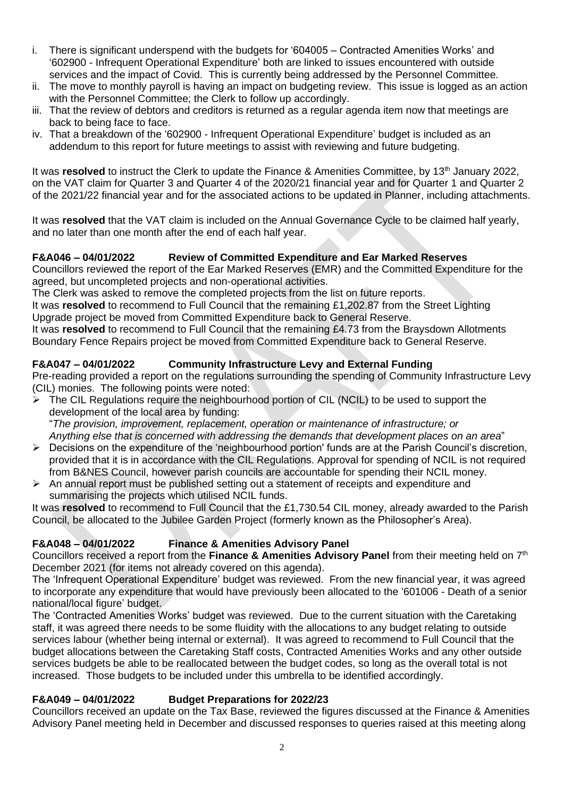- i. There is significant underspend with the budgets for '604005 Contracted Amenities Works' and '602900 - Infrequent Operational Expenditure' both are linked to issues encountered with outside services and the impact of Covid. This is currently being addressed by the Personnel Committee.
- ii. The move to monthly payroll is having an impact on budgeting review. This issue is logged as an action with the Personnel Committee; the Clerk to follow up accordingly.
- iii. That the review of debtors and creditors is returned as a regular agenda item now that meetings are back to being face to face.
- iv. That a breakdown of the '602900 Infrequent Operational Expenditure' budget is included as an addendum to this report for future meetings to assist with reviewing and future budgeting.

It was **resolved** to instruct the Clerk to update the Finance & Amenities Committee, by 13<sup>th</sup> January 2022, on the VAT claim for Quarter 3 and Quarter 4 of the 2020/21 financial year and for Quarter 1 and Quarter 2 of the 2021/22 financial year and for the associated actions to be updated in Planner, including attachments.

It was **resolved** that the VAT claim is included on the Annual Governance Cycle to be claimed half yearly, and no later than one month after the end of each half year.

## **F&A046 – 04/01/2022 Review of Committed Expenditure and Ear Marked Reserves**

Councillors reviewed the report of the Ear Marked Reserves (EMR) and the Committed Expenditure for the agreed, but uncompleted projects and non-operational activities.

The Clerk was asked to remove the completed projects from the list on future reports.

It was **resolved** to recommend to Full Council that the remaining £1,202.87 from the Street Lighting Upgrade project be moved from Committed Expenditure back to General Reserve.

It was **resolved** to recommend to Full Council that the remaining £4.73 from the Braysdown Allotments Boundary Fence Repairs project be moved from Committed Expenditure back to General Reserve.

## **F&A047 – 04/01/2022 Community Infrastructure Levy and External Funding**

Pre-reading provided a report on the regulations surrounding the spending of Community Infrastructure Levy (CIL) monies. The following points were noted:

➢ The CIL Regulations require the neighbourhood portion of CIL (NCIL) to be used to support the development of the local area by funding:

"*The provision, improvement, replacement, operation or maintenance of infrastructure; or Anything else that is concerned with addressing the demands that development places on an area*"

- ➢ Decisions on the expenditure of the 'neighbourhood portion' funds are at the Parish Council's discretion, provided that it is in accordance with the CIL Regulations. Approval for spending of NCIL is not required from B&NES Council, however parish councils are accountable for spending their NCIL money.
- $\triangleright$  An annual report must be published setting out a statement of receipts and expenditure and summarising the projects which utilised NCIL funds.

It was **resolved** to recommend to Full Council that the £1,730.54 CIL money, already awarded to the Parish Council, be allocated to the Jubilee Garden Project (formerly known as the Philosopher's Area).

## **F&A048 – 04/01/2022 Finance & Amenities Advisory Panel**

Councillors received a report from the **Finance & Amenities Advisory Panel** from their meeting held on 7th December 2021 (for items not already covered on this agenda).

The 'Infrequent Operational Expenditure' budget was reviewed. From the new financial year, it was agreed to incorporate any expenditure that would have previously been allocated to the '601006 - Death of a senior national/local figure' budget.

The 'Contracted Amenities Works' budget was reviewed. Due to the current situation with the Caretaking staff, it was agreed there needs to be some fluidity with the allocations to any budget relating to outside services labour (whether being internal or external). It was agreed to recommend to Full Council that the budget allocations between the Caretaking Staff costs, Contracted Amenities Works and any other outside services budgets be able to be reallocated between the budget codes, so long as the overall total is not increased. Those budgets to be included under this umbrella to be identified accordingly.

## **F&A049 – 04/01/2022 Budget Preparations for 2022/23**

Councillors received an update on the Tax Base, reviewed the figures discussed at the Finance & Amenities Advisory Panel meeting held in December and discussed responses to queries raised at this meeting along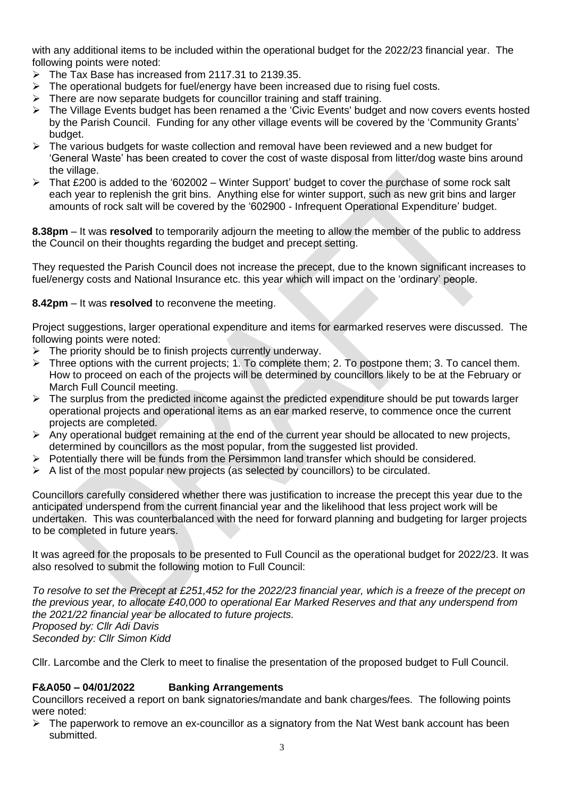with any additional items to be included within the operational budget for the 2022/23 financial year. The following points were noted:

- $\triangleright$  The Tax Base has increased from 2117.31 to 2139.35.
- ➢ The operational budgets for fuel/energy have been increased due to rising fuel costs.
- $\triangleright$  There are now separate budgets for councillor training and staff training.
- ➢ The Village Events budget has been renamed a the 'Civic Events' budget and now covers events hosted by the Parish Council. Funding for any other village events will be covered by the 'Community Grants' budget.
- $\triangleright$  The various budgets for waste collection and removal have been reviewed and a new budget for 'General Waste' has been created to cover the cost of waste disposal from litter/dog waste bins around the village.
- ➢ That £200 is added to the '602002 Winter Support' budget to cover the purchase of some rock salt each year to replenish the grit bins. Anything else for winter support, such as new grit bins and larger amounts of rock salt will be covered by the '602900 - Infrequent Operational Expenditure' budget.

**8.38pm** – It was **resolved** to temporarily adjourn the meeting to allow the member of the public to address the Council on their thoughts regarding the budget and precept setting.

They requested the Parish Council does not increase the precept, due to the known significant increases to fuel/energy costs and National Insurance etc. this year which will impact on the 'ordinary' people.

## **8.42pm** – It was **resolved** to reconvene the meeting.

Project suggestions, larger operational expenditure and items for earmarked reserves were discussed. The following points were noted:

- $\triangleright$  The priority should be to finish projects currently underway.
- ➢ Three options with the current projects; 1. To complete them; 2. To postpone them; 3. To cancel them. How to proceed on each of the projects will be determined by councillors likely to be at the February or March Full Council meeting.
- $\triangleright$  The surplus from the predicted income against the predicted expenditure should be put towards larger operational projects and operational items as an ear marked reserve, to commence once the current projects are completed.
- $\triangleright$  Any operational budget remaining at the end of the current year should be allocated to new projects, determined by councillors as the most popular, from the suggested list provided.
- $\triangleright$  Potentially there will be funds from the Persimmon land transfer which should be considered.
- $\triangleright$  A list of the most popular new projects (as selected by councillors) to be circulated.

Councillors carefully considered whether there was justification to increase the precept this year due to the anticipated underspend from the current financial year and the likelihood that less project work will be undertaken. This was counterbalanced with the need for forward planning and budgeting for larger projects to be completed in future years.

It was agreed for the proposals to be presented to Full Council as the operational budget for 2022/23. It was also resolved to submit the following motion to Full Council:

*To resolve to set the Precept at £251,452 for the 2022/23 financial year, which is a freeze of the precept on the previous year, to allocate £40,000 to operational Ear Marked Reserves and that any underspend from the 2021/22 financial year be allocated to future projects. Proposed by: Cllr Adi Davis Seconded by: Cllr Simon Kidd*

Cllr. Larcombe and the Clerk to meet to finalise the presentation of the proposed budget to Full Council.

## **F&A050 – 04/01/2022 Banking Arrangements**

Councillors received a report on bank signatories/mandate and bank charges/fees. The following points were noted:

 $\triangleright$  The paperwork to remove an ex-councillor as a signatory from the Nat West bank account has been submitted.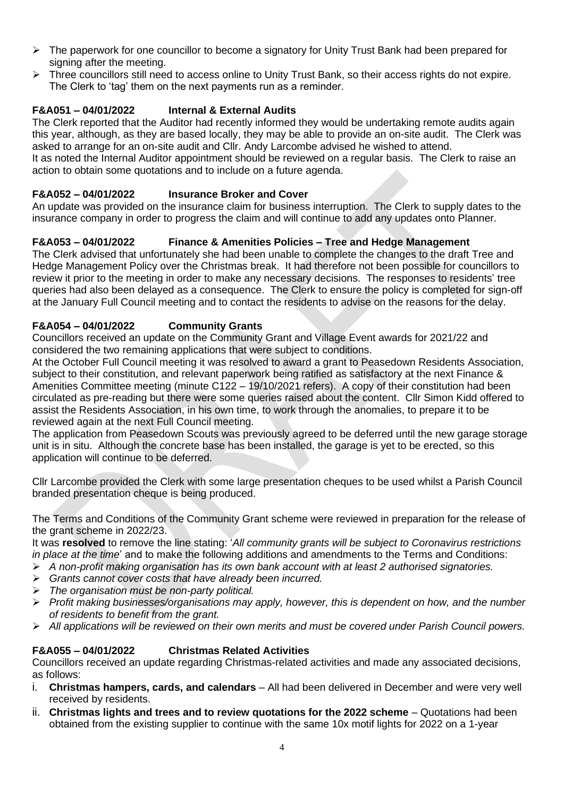- $\triangleright$  The paperwork for one councillor to become a signatory for Unity Trust Bank had been prepared for signing after the meeting.
- ➢ Three councillors still need to access online to Unity Trust Bank, so their access rights do not expire. The Clerk to 'tag' them on the next payments run as a reminder.

## **F&A051 – 04/01/2022 Internal & External Audits**

The Clerk reported that the Auditor had recently informed they would be undertaking remote audits again this year, although, as they are based locally, they may be able to provide an on-site audit. The Clerk was asked to arrange for an on-site audit and Cllr. Andy Larcombe advised he wished to attend.

It as noted the Internal Auditor appointment should be reviewed on a regular basis. The Clerk to raise an action to obtain some quotations and to include on a future agenda.

### **F&A052 – 04/01/2022 Insurance Broker and Cover**

An update was provided on the insurance claim for business interruption. The Clerk to supply dates to the insurance company in order to progress the claim and will continue to add any updates onto Planner.

### **F&A053 – 04/01/2022 Finance & Amenities Policies – Tree and Hedge Management**

The Clerk advised that unfortunately she had been unable to complete the changes to the draft Tree and Hedge Management Policy over the Christmas break. It had therefore not been possible for councillors to review it prior to the meeting in order to make any necessary decisions. The responses to residents' tree queries had also been delayed as a consequence. The Clerk to ensure the policy is completed for sign-off at the January Full Council meeting and to contact the residents to advise on the reasons for the delay.

### **F&A054 – 04/01/2022 Community Grants**

Councillors received an update on the Community Grant and Village Event awards for 2021/22 and considered the two remaining applications that were subject to conditions.

At the October Full Council meeting it was resolved to award a grant to Peasedown Residents Association, subject to their constitution, and relevant paperwork being ratified as satisfactory at the next Finance & Amenities Committee meeting (minute C122 – 19/10/2021 refers). A copy of their constitution had been circulated as pre-reading but there were some queries raised about the content. Cllr Simon Kidd offered to assist the Residents Association, in his own time, to work through the anomalies, to prepare it to be reviewed again at the next Full Council meeting.

The application from Peasedown Scouts was previously agreed to be deferred until the new garage storage unit is in situ. Although the concrete base has been installed, the garage is yet to be erected, so this application will continue to be deferred.

Cllr Larcombe provided the Clerk with some large presentation cheques to be used whilst a Parish Council branded presentation cheque is being produced.

The Terms and Conditions of the Community Grant scheme were reviewed in preparation for the release of the grant scheme in 2022/23.

It was **resolved** to remove the line stating: '*All community grants will be subject to Coronavirus restrictions in place at the time*' and to make the following additions and amendments to the Terms and Conditions:

- ➢ *A non-profit making organisation has its own bank account with at least 2 authorised signatories.*
- ➢ *Grants cannot cover costs that have already been incurred.*
- ➢ *The organisation must be non-party political.*
- ➢ *Profit making businesses/organisations may apply, however, this is dependent on how, and the number of residents to benefit from the grant.*
- ➢ *All applications will be reviewed on their own merits and must be covered under Parish Council powers.*

#### **F&A055 – 04/01/2022 Christmas Related Activities**

Councillors received an update regarding Christmas-related activities and made any associated decisions, as follows:

- i. **Christmas hampers, cards, and calendars** All had been delivered in December and were very well received by residents.
- ii. **Christmas lights and trees and to review quotations for the 2022 scheme** Quotations had been obtained from the existing supplier to continue with the same 10x motif lights for 2022 on a 1-year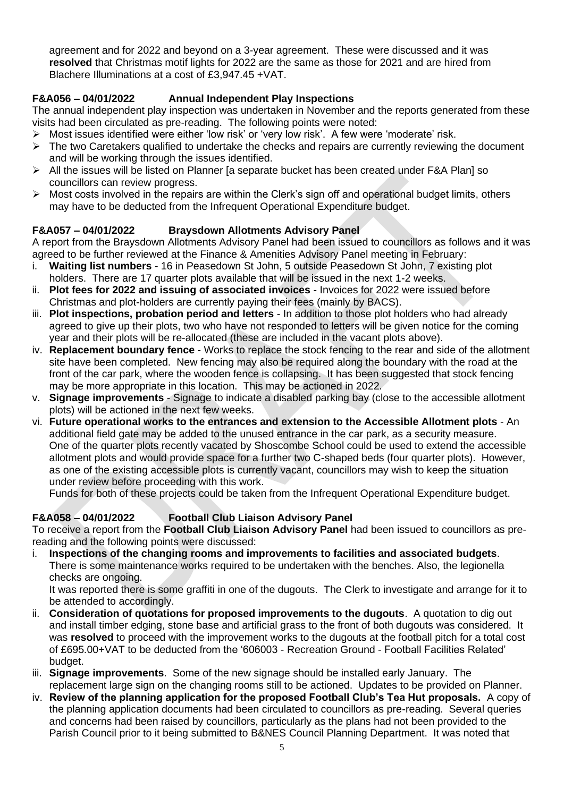agreement and for 2022 and beyond on a 3-year agreement. These were discussed and it was **resolved** that Christmas motif lights for 2022 are the same as those for 2021 and are hired from Blachere Illuminations at a cost of £3,947.45 +VAT.

## **F&A056 – 04/01/2022 Annual Independent Play Inspections**

The annual independent play inspection was undertaken in November and the reports generated from these visits had been circulated as pre-reading. The following points were noted:

- ➢ Most issues identified were either 'low risk' or 'very low risk'. A few were 'moderate' risk.
- $\triangleright$  The two Caretakers qualified to undertake the checks and repairs are currently reviewing the document and will be working through the issues identified.
- ➢ All the issues will be listed on Planner [a separate bucket has been created under F&A Plan] so councillors can review progress.
- $\triangleright$  Most costs involved in the repairs are within the Clerk's sign off and operational budget limits, others may have to be deducted from the Infrequent Operational Expenditure budget.

## **F&A057 – 04/01/2022 Braysdown Allotments Advisory Panel**

A report from the Braysdown Allotments Advisory Panel had been issued to councillors as follows and it was agreed to be further reviewed at the Finance & Amenities Advisory Panel meeting in February:

- i. **Waiting list numbers** 16 in Peasedown St John, 5 outside Peasedown St John, 7 existing plot holders. There are 17 quarter plots available that will be issued in the next 1-2 weeks.
- ii. **Plot fees for 2022 and issuing of associated invoices** Invoices for 2022 were issued before Christmas and plot-holders are currently paying their fees (mainly by BACS).
- iii. **Plot inspections, probation period and letters** In addition to those plot holders who had already agreed to give up their plots, two who have not responded to letters will be given notice for the coming year and their plots will be re-allocated (these are included in the vacant plots above).
- iv. **Replacement boundary fence** Works to replace the stock fencing to the rear and side of the allotment site have been completed. New fencing may also be required along the boundary with the road at the front of the car park, where the wooden fence is collapsing. It has been suggested that stock fencing may be more appropriate in this location. This may be actioned in 2022.
- v. **Signage improvements** Signage to indicate a disabled parking bay (close to the accessible allotment plots) will be actioned in the next few weeks.
- vi. **Future operational works to the entrances and extension to the Accessible Allotment plots** An additional field gate may be added to the unused entrance in the car park, as a security measure. One of the quarter plots recently vacated by Shoscombe School could be used to extend the accessible allotment plots and would provide space for a further two C-shaped beds (four quarter plots). However, as one of the existing accessible plots is currently vacant, councillors may wish to keep the situation under review before proceeding with this work.

Funds for both of these projects could be taken from the Infrequent Operational Expenditure budget.

## **F&A058 – 04/01/2022 Football Club Liaison Advisory Panel**

To receive a report from the **Football Club Liaison Advisory Panel** had been issued to councillors as prereading and the following points were discussed:

i. **Inspections of the changing rooms and improvements to facilities and associated budgets**. There is some maintenance works required to be undertaken with the benches. Also, the legionella checks are ongoing.

It was reported there is some graffiti in one of the dugouts. The Clerk to investigate and arrange for it to be attended to accordingly.

- ii. **Consideration of quotations for proposed improvements to the dugouts**. A quotation to dig out and install timber edging, stone base and artificial grass to the front of both dugouts was considered. It was **resolved** to proceed with the improvement works to the dugouts at the football pitch for a total cost of £695.00+VAT to be deducted from the '606003 - Recreation Ground - Football Facilities Related' budget.
- iii. **Signage improvements**. Some of the new signage should be installed early January. The replacement large sign on the changing rooms still to be actioned. Updates to be provided on Planner.
- iv. **Review of the planning application for the proposed Football Club's Tea Hut proposals.** A copy of the planning application documents had been circulated to councillors as pre-reading. Several queries and concerns had been raised by councillors, particularly as the plans had not been provided to the Parish Council prior to it being submitted to B&NES Council Planning Department. It was noted that